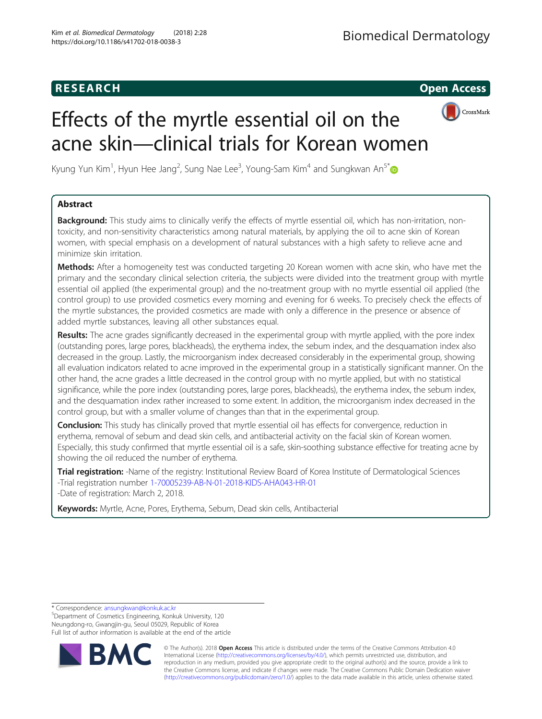## **RESEARCH CHINESE ARCH CHINESE ARCH**



# Effects of the myrtle essential oil on the acne skin—clinical trials for Korean women

Kyung Yun Kim<sup>1</sup>, Hyun Hee Jang<sup>2</sup>, Sung Nae Lee<sup>3</sup>, Young-Sam Kim<sup>4</sup> and Sungkwan An<sup>5\*</sup>

## Abstract

**Background:** This study aims to clinically verify the effects of myrtle essential oil, which has non-irritation, nontoxicity, and non-sensitivity characteristics among natural materials, by applying the oil to acne skin of Korean women, with special emphasis on a development of natural substances with a high safety to relieve acne and minimize skin irritation.

Methods: After a homogeneity test was conducted targeting 20 Korean women with acne skin, who have met the primary and the secondary clinical selection criteria, the subjects were divided into the treatment group with myrtle essential oil applied (the experimental group) and the no-treatment group with no myrtle essential oil applied (the control group) to use provided cosmetics every morning and evening for 6 weeks. To precisely check the effects of the myrtle substances, the provided cosmetics are made with only a difference in the presence or absence of added myrtle substances, leaving all other substances equal.

Results: The acne grades significantly decreased in the experimental group with myrtle applied, with the pore index (outstanding pores, large pores, blackheads), the erythema index, the sebum index, and the desquamation index also decreased in the group. Lastly, the microorganism index decreased considerably in the experimental group, showing all evaluation indicators related to acne improved in the experimental group in a statistically significant manner. On the other hand, the acne grades a little decreased in the control group with no myrtle applied, but with no statistical significance, while the pore index (outstanding pores, large pores, blackheads), the erythema index, the sebum index, and the desquamation index rather increased to some extent. In addition, the microorganism index decreased in the control group, but with a smaller volume of changes than that in the experimental group.

**Conclusion:** This study has clinically proved that myrtle essential oil has effects for convergence, reduction in erythema, removal of sebum and dead skin cells, and antibacterial activity on the facial skin of Korean women. Especially, this study confirmed that myrtle essential oil is a safe, skin-soothing substance effective for treating acne by showing the oil reduced the number of erythema.

Trial registration: -Name of the registry: Institutional Review Board of Korea Institute of Dermatological Sciences -Trial registration number [1-70005239-AB-N-01-2018-KIDS-AHA043-HR-01](http://www.kairb.org/) -Date of registration: March 2, 2018.

Keywords: Myrtle, Acne, Pores, Erythema, Sebum, Dead skin cells, Antibacterial

\* Correspondence: [ansungkwan@konkuk.ac.kr](mailto:ansungkwan@konkuk.ac.kr) <sup>5</sup>

Department of Cosmetics Engineering, Konkuk University, 120 Neungdong-ro, Gwangjin-gu, Seoul 05029, Republic of Korea Full list of author information is available at the end of the article



© The Author(s). 2018 Open Access This article is distributed under the terms of the Creative Commons Attribution 4.0 International License [\(http://creativecommons.org/licenses/by/4.0/](http://creativecommons.org/licenses/by/4.0/)), which permits unrestricted use, distribution, and reproduction in any medium, provided you give appropriate credit to the original author(s) and the source, provide a link to the Creative Commons license, and indicate if changes were made. The Creative Commons Public Domain Dedication waiver [\(http://creativecommons.org/publicdomain/zero/1.0/](http://creativecommons.org/publicdomain/zero/1.0/)) applies to the data made available in this article, unless otherwise stated.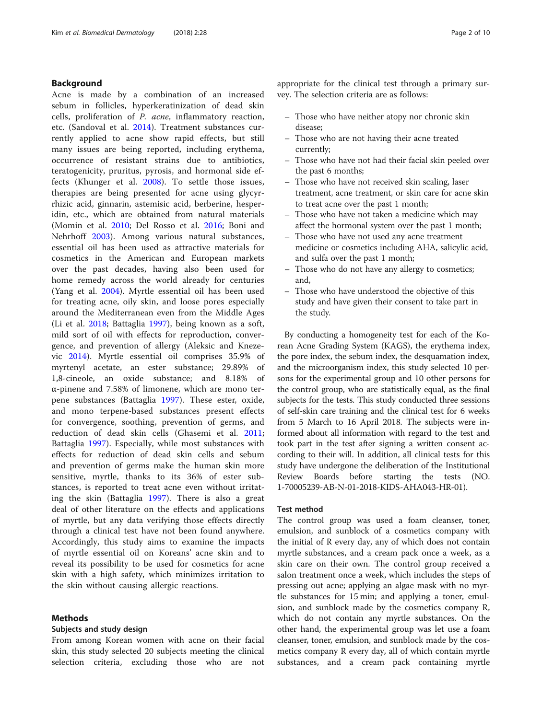#### Background

Acne is made by a combination of an increased sebum in follicles, hyperkeratinization of dead skin cells, proliferation of P. acne, inflammatory reaction, etc. (Sandoval et al. [2014](#page-9-0)). Treatment substances currently applied to acne show rapid effects, but still many issues are being reported, including erythema, occurrence of resistant strains due to antibiotics, teratogenicity, pruritus, pyrosis, and hormonal side effects (Khunger et al. [2008](#page-9-0)). To settle those issues, therapies are being presented for acne using glycyrrhizic acid, ginnarin, astemisic acid, berberine, hesperidin, etc., which are obtained from natural materials (Momin et al. [2010](#page-9-0); Del Rosso et al. [2016](#page-9-0); Boni and Nehrhoff [2003](#page-9-0)). Among various natural substances, essential oil has been used as attractive materials for cosmetics in the American and European markets over the past decades, having also been used for home remedy across the world already for centuries (Yang et al. [2004](#page-9-0)). Myrtle essential oil has been used for treating acne, oily skin, and loose pores especially around the Mediterranean even from the Middle Ages (Li et al. [2018](#page-9-0); Battaglia [1997\)](#page-9-0), being known as a soft, mild sort of oil with effects for reproduction, convergence, and prevention of allergy (Aleksic and Knezevic [2014](#page-9-0)). Myrtle essential oil comprises 35.9% of myrtenyl acetate, an ester substance; 29.89% of 1,8-cineole, an oxide substance; and 8.18% of α-pinene and 7.58% of limonene, which are mono terpene substances (Battaglia [1997](#page-9-0)). These ester, oxide, and mono terpene-based substances present effects for convergence, soothing, prevention of germs, and reduction of dead skin cells (Ghasemi et al. [2011](#page-9-0); Battaglia [1997\)](#page-9-0). Especially, while most substances with effects for reduction of dead skin cells and sebum and prevention of germs make the human skin more sensitive, myrtle, thanks to its 36% of ester substances, is reported to treat acne even without irritating the skin (Battaglia [1997\)](#page-9-0). There is also a great deal of other literature on the effects and applications of myrtle, but any data verifying those effects directly through a clinical test have not been found anywhere. Accordingly, this study aims to examine the impacts of myrtle essential oil on Koreans' acne skin and to reveal its possibility to be used for cosmetics for acne skin with a high safety, which minimizes irritation to the skin without causing allergic reactions.

#### Methods

#### Subjects and study design

From among Korean women with acne on their facial skin, this study selected 20 subjects meeting the clinical selection criteria, excluding those who are not appropriate for the clinical test through a primary survey. The selection criteria are as follows:

- Those who have neither atopy nor chronic skin disease;
- Those who are not having their acne treated currently;
- Those who have not had their facial skin peeled over the past 6 months;
- Those who have not received skin scaling, laser treatment, acne treatment, or skin care for acne skin to treat acne over the past 1 month;
- Those who have not taken a medicine which may affect the hormonal system over the past 1 month;
- Those who have not used any acne treatment medicine or cosmetics including AHA, salicylic acid, and sulfa over the past 1 month;
- Those who do not have any allergy to cosmetics; and,
- Those who have understood the objective of this study and have given their consent to take part in the study.

By conducting a homogeneity test for each of the Korean Acne Grading System (KAGS), the erythema index, the pore index, the sebum index, the desquamation index, and the microorganism index, this study selected 10 persons for the experimental group and 10 other persons for the control group, who are statistically equal, as the final subjects for the tests. This study conducted three sessions of self-skin care training and the clinical test for 6 weeks from 5 March to 16 April 2018. The subjects were informed about all information with regard to the test and took part in the test after signing a written consent according to their will. In addition, all clinical tests for this study have undergone the deliberation of the Institutional Review Boards before starting the tests (NO. 1-70005239-AB-N-01-2018-KIDS-AHA043-HR-01).

#### Test method

The control group was used a foam cleanser, toner, emulsion, and sunblock of a cosmetics company with the initial of R every day, any of which does not contain myrtle substances, and a cream pack once a week, as a skin care on their own. The control group received a salon treatment once a week, which includes the steps of pressing out acne; applying an algae mask with no myrtle substances for 15 min; and applying a toner, emulsion, and sunblock made by the cosmetics company R, which do not contain any myrtle substances. On the other hand, the experimental group was let use a foam cleanser, toner, emulsion, and sunblock made by the cosmetics company R every day, all of which contain myrtle substances, and a cream pack containing myrtle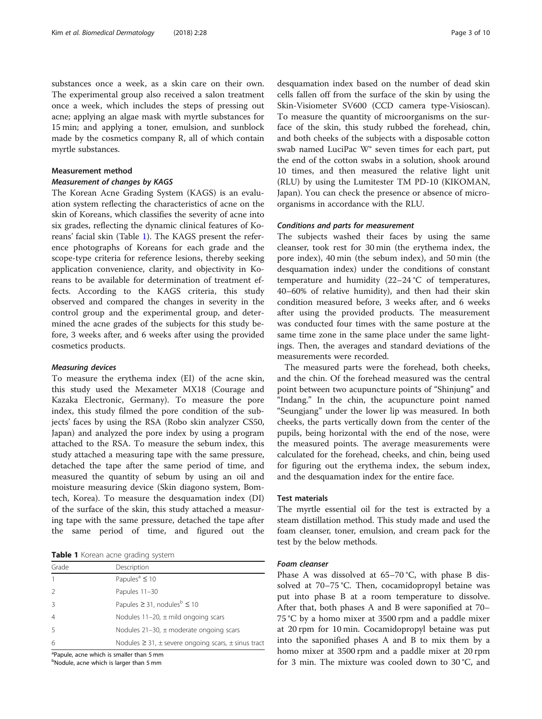substances once a week, as a skin care on their own. The experimental group also received a salon treatment once a week, which includes the steps of pressing out acne; applying an algae mask with myrtle substances for 15 min; and applying a toner, emulsion, and sunblock made by the cosmetics company R, all of which contain myrtle substances.

#### Measurement method

#### Measurement of changes by KAGS

The Korean Acne Grading System (KAGS) is an evaluation system reflecting the characteristics of acne on the skin of Koreans, which classifies the severity of acne into six grades, reflecting the dynamic clinical features of Koreans' facial skin (Table 1). The KAGS present the reference photographs of Koreans for each grade and the scope-type criteria for reference lesions, thereby seeking application convenience, clarity, and objectivity in Koreans to be available for determination of treatment effects. According to the KAGS criteria, this study observed and compared the changes in severity in the control group and the experimental group, and determined the acne grades of the subjects for this study before, 3 weeks after, and 6 weeks after using the provided cosmetics products.

#### Measuring devices

To measure the erythema index (EI) of the acne skin, this study used the Mexameter MX18 (Courage and Kazaka Electronic, Germany). To measure the pore index, this study filmed the pore condition of the subjects' faces by using the RSA (Robo skin analyzer CS50, Japan) and analyzed the pore index by using a program attached to the RSA. To measure the sebum index, this study attached a measuring tape with the same pressure, detached the tape after the same period of time, and measured the quantity of sebum by using an oil and moisture measuring device (Skin diagono system, Bomtech, Korea). To measure the desquamation index (DI) of the surface of the skin, this study attached a measuring tape with the same pressure, detached the tape after the same period of time, and figured out the

Table 1 Korean acne grading system

| Grade          | Description                                                      |
|----------------|------------------------------------------------------------------|
|                | Papules <sup>a</sup> $\leq 10$                                   |
|                | Papules 11-30                                                    |
|                | Papules $\geq$ 31, nodules <sup>b</sup> $\leq$ 10                |
| $\overline{4}$ | Nodules $11-20$ , $\pm$ mild ongoing scars                       |
|                | Nodules $21-30$ , $\pm$ moderate ongoing scars                   |
| 6              | Nodules $\geq$ 31, $\pm$ severe ongoing scars, $\pm$ sinus tract |

<sup>a</sup>Papule, acne which is smaller than 5 mm

<sup>b</sup>Nodule, acne which is larger than 5 mm

desquamation index based on the number of dead skin cells fallen off from the surface of the skin by using the Skin-Visiometer SV600 (CCD camera type-Visioscan). To measure the quantity of microorganisms on the surface of the skin, this study rubbed the forehead, chin, and both cheeks of the subjects with a disposable cotton swab named LuciPac W® seven times for each part, put the end of the cotton swabs in a solution, shook around 10 times, and then measured the relative light unit (RLU) by using the Lumitester TM PD-10 (KIKOMAN, Japan). You can check the presence or absence of microorganisms in accordance with the RLU.

#### Conditions and parts for measurement

The subjects washed their faces by using the same cleanser, took rest for 30 min (the erythema index, the pore index), 40 min (the sebum index), and 50 min (the desquamation index) under the conditions of constant temperature and humidity  $(22-24 \degree C)$  of temperatures, 40–60% of relative humidity), and then had their skin condition measured before, 3 weeks after, and 6 weeks after using the provided products. The measurement was conducted four times with the same posture at the same time zone in the same place under the same lightings. Then, the averages and standard deviations of the measurements were recorded.

The measured parts were the forehead, both cheeks, and the chin. Of the forehead measured was the central point between two acupuncture points of "Shinjung" and "Indang." In the chin, the acupuncture point named "Seungjang" under the lower lip was measured. In both cheeks, the parts vertically down from the center of the pupils, being horizontal with the end of the nose, were the measured points. The average measurements were calculated for the forehead, cheeks, and chin, being used for figuring out the erythema index, the sebum index, and the desquamation index for the entire face.

#### Test materials

The myrtle essential oil for the test is extracted by a steam distillation method. This study made and used the foam cleanser, toner, emulsion, and cream pack for the test by the below methods.

#### Foam cleanser

Phase A was dissolved at 65–70 °C, with phase B dissolved at 70–75 °C. Then, cocamidopropyl betaine was put into phase B at a room temperature to dissolve. After that, both phases A and B were saponified at 70– 75 °C by a homo mixer at 3500 rpm and a paddle mixer at 20 rpm for 10 min. Cocamidopropyl betaine was put into the saponified phases A and B to mix them by a homo mixer at 3500 rpm and a paddle mixer at 20 rpm for 3 min. The mixture was cooled down to 30 °C, and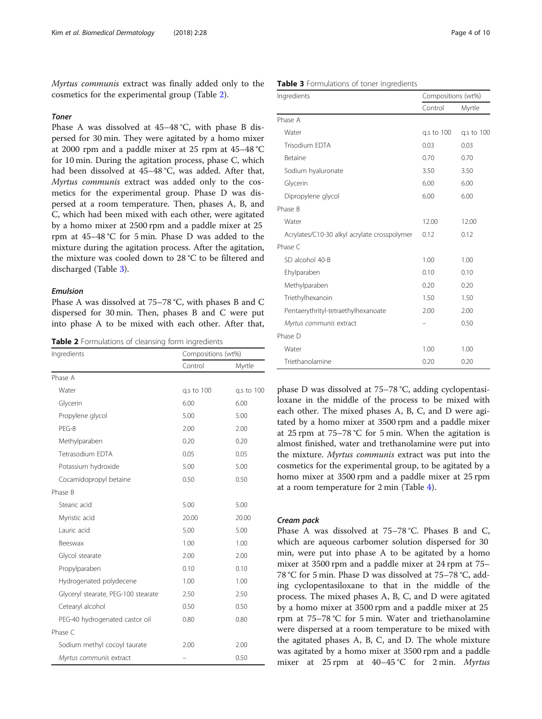Myrtus communis extract was finally added only to the cosmetics for the experimental group (Table 2).

#### Toner

Phase A was dissolved at 45–48 °C, with phase B dispersed for 30 min. They were agitated by a homo mixer at 2000 rpm and a paddle mixer at 25 rpm at 45–48 °C for 10 min. During the agitation process, phase C, which had been dissolved at 45–48 °C, was added. After that, Myrtus communis extract was added only to the cosmetics for the experimental group. Phase D was dispersed at a room temperature. Then, phases A, B, and C, which had been mixed with each other, were agitated by a homo mixer at 2500 rpm and a paddle mixer at 25 rpm at 45–48 °C for 5 min. Phase D was added to the mixture during the agitation process. After the agitation, the mixture was cooled down to 28 °C to be filtered and discharged (Table 3).

#### Emulsion

Phase A was dissolved at 75–78 °C, with phases B and C dispersed for 30 min. Then, phases B and C were put into phase A to be mixed with each other. After that,

Table 2 Formulations of cleansing form ingredients

| Ingredients                         | Compositions (wt%) |            |  |
|-------------------------------------|--------------------|------------|--|
|                                     | Control            | Myrtle     |  |
| Phase A                             |                    |            |  |
| Water                               | g.s to 100         | q.s to 100 |  |
| Glycerin                            | 6.00               | 6.00       |  |
| Propylene glycol                    | 5.00               | 5.00       |  |
| PFG-8                               | 2.00               | 2.00       |  |
| Methylparaben                       | 0.20               | 0.20       |  |
| Tetrasodium EDTA                    | 0.05               | 0.05       |  |
| Potassium hydroxide                 | 5.00               | 5.00       |  |
| Cocamidopropyl betaine              | 0.50               | 0.50       |  |
| Phase B                             |                    |            |  |
| Stearic acid                        | 5.00               | 5.00       |  |
| Myristic acid                       | 20.00              | 20.00      |  |
| Lauric acid                         | 5.00               | 5.00       |  |
| Beeswax                             | 1.00               | 1.00       |  |
| Glycol stearate                     | 2.00               | 2.00       |  |
| Propylparaben                       | 0.10               | 0.10       |  |
| Hydrogenated polydecene             | 1.00               | 1.00       |  |
| Glyceryl stearate, PEG-100 stearate | 2.50               | 2.50       |  |
| Cetearyl alcohol                    | 0.50               | 0.50       |  |
| PEG-40 hydrogenated castor oil      | 0.80               | 0.80       |  |
| Phase C                             |                    |            |  |
| Sodium methyl cocoyl taurate        | 2.00               | 2.00       |  |
| Myrtus communis extract             |                    | 0.50       |  |

| Table 3 Formulations of toner ingredients |  |
|-------------------------------------------|--|

| Ingredients                                  | Compositions (wt%) |            |  |
|----------------------------------------------|--------------------|------------|--|
|                                              | Control            | Myrtle     |  |
| Phase A                                      |                    |            |  |
| Water                                        | q.s to 100         | g.s to 100 |  |
| Trisodium EDTA                               | 0.03               | 0.03       |  |
| <b>Betaine</b>                               | 0.70               | 0.70       |  |
| Sodium hyaluronate                           | 3.50               | 3.50       |  |
| Glycerin                                     | 6.00               | 6.00       |  |
| Dipropylene glycol                           | 6.00               | 6.00       |  |
| Phase B                                      |                    |            |  |
| Water                                        | 12.00              | 12.00      |  |
| Acrylates/C10-30 alkyl acrylate crosspolymer | 0.12               | 0.12       |  |
| Phase C                                      |                    |            |  |
| SD alcohol 40-B                              | 1.00               | 1.00       |  |
| Ehylparaben                                  | 0.10               | 0.10       |  |
| Methylparaben                                | 0.20               | 0.20       |  |
| Triethylhexanoin                             | 1.50               | 1.50       |  |
| Pentaerythrityl-tetraethylhexanoate          | 2.00               | 2.00       |  |
| Myrtus communis extract                      |                    | 0.50       |  |
| Phase D                                      |                    |            |  |
| Water                                        | 1.00               | 1.00       |  |
| Triethanolamine                              | 0.20               | 0.20       |  |

phase D was dissolved at 75–78 °C, adding cyclopentasiloxane in the middle of the process to be mixed with each other. The mixed phases A, B, C, and D were agitated by a homo mixer at 3500 rpm and a paddle mixer at 25 rpm at 75–78 °C for 5 min. When the agitation is almost finished, water and trethanolamine were put into the mixture. Myrtus communis extract was put into the cosmetics for the experimental group, to be agitated by a homo mixer at 3500 rpm and a paddle mixer at 25 rpm at a room temperature for 2 min (Table [4](#page-4-0)).

#### Cream pack

Phase A was dissolved at 75–78 °C. Phases B and C, which are aqueous carbomer solution dispersed for 30 min, were put into phase A to be agitated by a homo mixer at 3500 rpm and a paddle mixer at 24 rpm at 75– 78 °C for 5 min. Phase D was dissolved at 75–78 °C, adding cyclopentasiloxane to that in the middle of the process. The mixed phases A, B, C, and D were agitated by a homo mixer at 3500 rpm and a paddle mixer at 25 rpm at 75–78 °C for 5 min. Water and triethanolamine were dispersed at a room temperature to be mixed with the agitated phases A, B, C, and D. The whole mixture was agitated by a homo mixer at 3500 rpm and a paddle mixer at 25 rpm at 40–45 °C for 2 min. Myrtus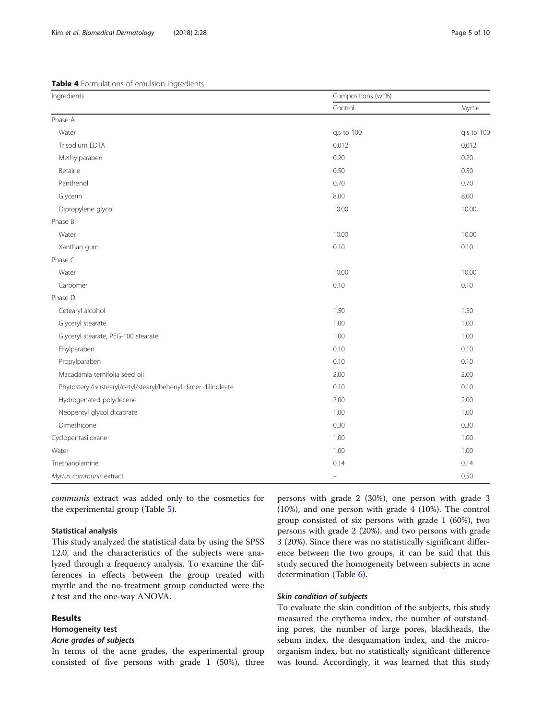<span id="page-4-0"></span>Table 4 Formulations of emulsion ingredients

| Ingredients                                                    | Compositions (wt%) |            |  |
|----------------------------------------------------------------|--------------------|------------|--|
|                                                                | Control            | Myrtle     |  |
| Phase A                                                        |                    |            |  |
| Water                                                          | q.s to 100         | q.s to 100 |  |
| Trisodium EDTA                                                 | 0.012              | 0.012      |  |
| Methylparaben                                                  | 0.20               | 0.20       |  |
| Betaine                                                        | 0.50               | 0.50       |  |
| Panthenol                                                      | 0.70               | 0.70       |  |
| Glycerin                                                       | 8.00               | 8.00       |  |
| Dipropylene glycol                                             | 10.00              | 10.00      |  |
| Phase B                                                        |                    |            |  |
| Water                                                          | 10.00              | 10.00      |  |
| Xanthan gum                                                    | 0.10               | 0.10       |  |
| Phase C                                                        |                    |            |  |
| Water                                                          | 10.00              | 10.00      |  |
| Carbomer                                                       | 0.10               | 0.10       |  |
| Phase D                                                        |                    |            |  |
| Cetearyl alcohol                                               | 1.50               | 1.50       |  |
| Glyceryl stearate                                              | 1.00               | 1.00       |  |
| Glyceryl stearate, PEG-100 stearate                            | 1.00               | 1.00       |  |
| Ehylparaben                                                    | 0.10               | 0.10       |  |
| Propylparaben                                                  | 0.10               | 0.10       |  |
| Macadamia ternifolia seed oil                                  | 2.00               | 2.00       |  |
| Phytosteryl/isostearyl/cetyl/stearyl/behenyl dimer dilinoleate | 0.10               | 0.10       |  |
| Hydrogenated polydecene                                        | 2.00               | 2.00       |  |
| Neopentyl glycol dicaprate                                     | 1.00               | 1.00       |  |
| Dimethicone                                                    | 0.30               | 0.30       |  |
| Cyclopentasiloxane                                             | 1.00               | 1.00       |  |
| Water                                                          | 1.00               | 1.00       |  |
| Triethanolamine                                                | 0.14               | 0.14       |  |
| Myrtus communis extract                                        | ÷                  | 0.50       |  |

communis extract was added only to the cosmetics for the experimental group (Table [5\)](#page-5-0).

#### Statistical analysis

This study analyzed the statistical data by using the SPSS 12.0, and the characteristics of the subjects were analyzed through a frequency analysis. To examine the differences in effects between the group treated with myrtle and the no-treatment group conducted were the t test and the one-way ANOVA.

#### Results

#### Homogeneity test

#### Acne grades of subjects

In terms of the acne grades, the experimental group consisted of five persons with grade 1 (50%), three

persons with grade 2 (30%), one person with grade 3 (10%), and one person with grade 4 (10%). The control group consisted of six persons with grade 1 (60%), two persons with grade 2 (20%), and two persons with grade 3 (20%). Since there was no statistically significant difference between the two groups, it can be said that this study secured the homogeneity between subjects in acne determination (Table [6\)](#page-5-0).

#### Skin condition of subjects

To evaluate the skin condition of the subjects, this study measured the erythema index, the number of outstanding pores, the number of large pores, blackheads, the sebum index, the desquamation index, and the microorganism index, but no statistically significant difference was found. Accordingly, it was learned that this study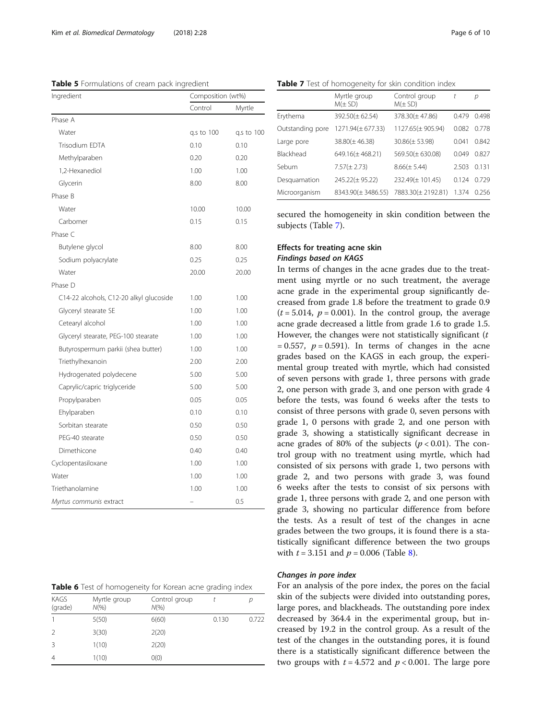<span id="page-5-0"></span>Table 5 Formulations of cream pack ingredient

| Ingredient                              | Composition (wt%) |            |
|-----------------------------------------|-------------------|------------|
|                                         | Control           | Myrtle     |
| Phase A                                 |                   |            |
| Water                                   | q.s to 100        | q.s to 100 |
| Trisodium EDTA                          | 0.10              | 0.10       |
| Methylparaben                           | 0.20              | 0.20       |
| 1,2-Hexanediol                          | 1.00              | 1.00       |
| Glycerin                                | 8.00              | 8.00       |
| Phase B                                 |                   |            |
| Water                                   | 10.00             | 10.00      |
| Carbomer                                | 0.15              | 0.15       |
| Phase C                                 |                   |            |
| Butylene glycol                         | 8.00              | 8.00       |
| Sodium polyacrylate                     | 0.25              | 0.25       |
| Water                                   | 20.00             | 20.00      |
| Phase D                                 |                   |            |
| C14-22 alcohols, C12-20 alkyl glucoside | 1.00              | 1.00       |
| Glyceryl stearate SE                    | 1.00              | 1.00       |
| Cetearyl alcohol                        | 1.00              | 1.00       |
| Glyceryl stearate, PEG-100 stearate     | 1.00              | 1.00       |
| Butyrospermum parkii (shea butter)      | 1.00              | 1.00       |
| Triethylhexanoin                        | 2.00              | 2.00       |
| Hydrogenated polydecene                 | 5.00              | 5.00       |
| Caprylic/capric triglyceride            | 5.00              | 5.00       |
| Propylparaben                           | 0.05              | 0.05       |
| Ehylparaben                             | 0.10              | 0.10       |
| Sorbitan stearate                       | 0.50              | 0.50       |
| PEG-40 stearate                         | 0.50              | 0.50       |
| Dimethicone                             | 0.40              | 0.40       |
| Cyclopentasiloxane                      | 1.00              | 1.00       |
| Water                                   | 1.00              | 1.00       |
| Triethanolamine                         | 1.00              | 1.00       |
| Myrtus communis extract                 |                   | 0.5        |

| KAGS<br>(grade) | Myrtle group<br>$N(\% )$ | Control group<br>$N(\% )$ |       |       |
|-----------------|--------------------------|---------------------------|-------|-------|
|                 | 5(50)                    | 6(60)                     | 0.130 | 0.722 |
| 2               | 3(30)                    | 2(20)                     |       |       |
| 3               | 1(10)                    | 2(20)                     |       |       |
| 4               | 1(10)                    | O(0)                      |       |       |

Table 7 Test of homogeneity for skin condition index

|                  | Myrtle group<br>$M(\pm SD)$ | Control group<br>$M(\pm SD)$ | t     | р     |
|------------------|-----------------------------|------------------------------|-------|-------|
| Erythema         | $392.50(\pm 62.54)$         | $378.30(\pm 47.86)$          | 0.479 | 0.498 |
| Outstanding pore | 1271.94(±677.33)            | 1127.65(±905.94)             | 0.082 | 0.778 |
| Large pore       | $38.80(\pm 46.38)$          | $30.86(\pm 53.98)$           | 0.041 | 0.842 |
| Blackhead        | $649.16(\pm 468.21)$        | $569.50(\pm 630.08)$         | 0.049 | 0.827 |
| Sebum            | $7.57(\pm 2.73)$            | $8.66(\pm 5.44)$             | 2.503 | 0.131 |
| Desquamation     | $245.22(\pm 95.22)$         | 232.49(±101.45)              | 0.124 | 0.729 |
| Microorganism    | 8343.90(± 3486.55)          | 7883.30(± 2192.81)           | 1.374 | 0.256 |

secured the homogeneity in skin condition between the subjects (Table 7).

### Effects for treating acne skin Findings based on KAGS

In terms of changes in the acne grades due to the treatment using myrtle or no such treatment, the average acne grade in the experimental group significantly decreased from grade 1.8 before the treatment to grade 0.9  $(t = 5.014, p = 0.001)$ . In the control group, the average acne grade decreased a little from grade 1.6 to grade 1.5. However, the changes were not statistically significant  $(t)$ = 0.557,  $p = 0.591$ ). In terms of changes in the acne grades based on the KAGS in each group, the experimental group treated with myrtle, which had consisted of seven persons with grade 1, three persons with grade 2, one person with grade 3, and one person with grade 4 before the tests, was found 6 weeks after the tests to consist of three persons with grade 0, seven persons with grade 1, 0 persons with grade 2, and one person with grade 3, showing a statistically significant decrease in acne grades of 80% of the subjects ( $p < 0.01$ ). The control group with no treatment using myrtle, which had consisted of six persons with grade 1, two persons with grade 2, and two persons with grade 3, was found 6 weeks after the tests to consist of six persons with grade 1, three persons with grade 2, and one person with grade 3, showing no particular difference from before the tests. As a result of test of the changes in acne grades between the two groups, it is found there is a statistically significant difference between the two groups with  $t = 3.151$  and  $p = 0.006$  (Table [8\)](#page-6-0).

#### Changes in pore index

For an analysis of the pore index, the pores on the facial skin of the subjects were divided into outstanding pores, large pores, and blackheads. The outstanding pore index decreased by 364.4 in the experimental group, but increased by 19.2 in the control group. As a result of the test of the changes in the outstanding pores, it is found there is a statistically significant difference between the two groups with  $t = 4.572$  and  $p < 0.001$ . The large pore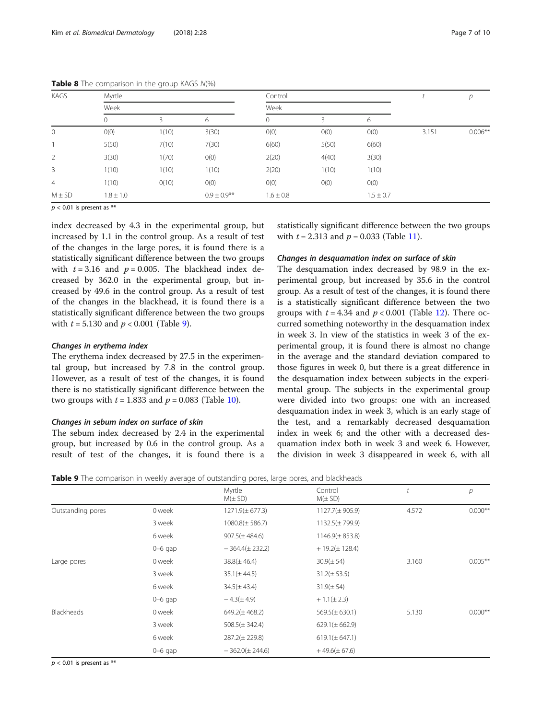| KAGS           | Myrtle        |       |                  | Control       |       |               |       | р          |
|----------------|---------------|-------|------------------|---------------|-------|---------------|-------|------------|
|                | Week          |       |                  | Week          |       |               |       |            |
|                | 0             | 3     | 6                | 0             | 3     | 6             |       |            |
| $\mathbf 0$    | O(0)          | 1(10) | 3(30)            | O(0)          | O(0)  | O(0)          | 3.151 | $0.006***$ |
|                | 5(50)         | 7(10) | 7(30)            | 6(60)         | 5(50) | 6(60)         |       |            |
| $\overline{2}$ | 3(30)         | 1(70) | O(0)             | 2(20)         | 4(40) | 3(30)         |       |            |
| 3              | 1(10)         | 1(10) | 1(10)            | 2(20)         | 1(10) | 1(10)         |       |            |
| $\overline{4}$ | 1(10)         | O(10) | O(0)             | O(0)          | O(0)  | O(0)          |       |            |
| $M \pm SD$     | $1.8 \pm 1.0$ |       | $0.9 \pm 0.9$ ** | $1.6 \pm 0.8$ |       | $1.5 \pm 0.7$ |       |            |

<span id="page-6-0"></span>Table 8 The comparison in the group KAGS N(%)

 $p < 0.01$  is present as \*\*

index decreased by 4.3 in the experimental group, but increased by 1.1 in the control group. As a result of test of the changes in the large pores, it is found there is a statistically significant difference between the two groups with  $t = 3.16$  and  $p = 0.005$ . The blackhead index decreased by 362.0 in the experimental group, but increased by 49.6 in the control group. As a result of test of the changes in the blackhead, it is found there is a statistically significant difference between the two groups with  $t = 5.130$  and  $p < 0.001$  (Table 9).

#### Changes in erythema index

The erythema index decreased by 27.5 in the experimental group, but increased by 7.8 in the control group. However, as a result of test of the changes, it is found there is no statistically significant difference between the two groups with  $t = 1.833$  and  $p = 0.083$  (Table [10](#page-7-0)).

#### Changes in sebum index on surface of skin

The sebum index decreased by 2.4 in the experimental group, but increased by 0.6 in the control group. As a result of test of the changes, it is found there is a statistically significant difference between the two groups with  $t = 2.313$  and  $p = 0.033$  (Table [11\)](#page-7-0).

#### Changes in desquamation index on surface of skin

The desquamation index decreased by 98.9 in the experimental group, but increased by 35.6 in the control group. As a result of test of the changes, it is found there is a statistically significant difference between the two groups with  $t = 4.34$  and  $p < 0.001$  (Table [12\)](#page-7-0). There occurred something noteworthy in the desquamation index in week 3. In view of the statistics in week 3 of the experimental group, it is found there is almost no change in the average and the standard deviation compared to those figures in week 0, but there is a great difference in the desquamation index between subjects in the experimental group. The subjects in the experimental group were divided into two groups: one with an increased desquamation index in week 3, which is an early stage of the test, and a remarkably decreased desquamation index in week 6; and the other with a decreased desquamation index both in week 3 and week 6. However, the division in week 3 disappeared in week 6, with all

| Table 9 The comparison in weekly average of outstanding pores, large pores, and blackheads |  |  |  |  |
|--------------------------------------------------------------------------------------------|--|--|--|--|
|--------------------------------------------------------------------------------------------|--|--|--|--|

|                   |             | Myrtle<br>$M(\pm SD)$ | Control<br>$M(\pm SD)$ |       | р          |
|-------------------|-------------|-----------------------|------------------------|-------|------------|
| Outstanding pores | 0 week      | $1271.9(\pm 677.3)$   | $1127.7(\pm 905.9)$    | 4.572 | $0.000**$  |
|                   | 3 week      | $1080.8(\pm 586.7)$   | $1132.5(\pm 799.9)$    |       |            |
|                   | 6 week      | $907.5(\pm 484.6)$    | $1146.9(\pm 853.8)$    |       |            |
|                   | $0 - 6$ gap | $-364.4(\pm 232.2)$   | $+19.2(\pm 128.4)$     |       |            |
| Large pores       | 0 week      | $38.8(\pm 46.4)$      | $30.9(\pm 54)$         | 3.160 | $0.005***$ |
|                   | 3 week      | $35.1(\pm 44.5)$      | $31.2(\pm 53.5)$       |       |            |
|                   | 6 week      | $34.5(\pm 43.4)$      | $31.9(\pm 54)$         |       |            |
|                   | $0-6$ gap   | $-4.3(\pm 4.9)$       | $+1.1(\pm 2.3)$        |       |            |
| <b>Blackheads</b> | 0 week      | $649.2(\pm 468.2)$    | $569.5(\pm 630.1)$     | 5.130 | $0.000**$  |
|                   | 3 week      | $508.5(\pm 342.4)$    | $629.1(\pm 662.9)$     |       |            |
|                   | 6 week      | $287.2(\pm 229.8)$    | $619.1(\pm 647.1)$     |       |            |
|                   | $0-6$ gap   | $-362.0(\pm 244.6)$   | $+49.6(\pm 67.6)$      |       |            |

 $p < 0.01$  is present as \*\*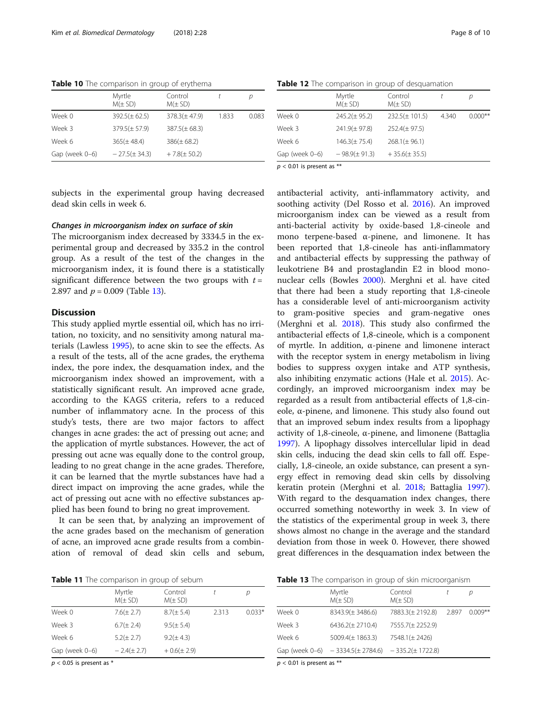<span id="page-7-0"></span>Table 10 The comparison in group of erythema

|                | Myrtle<br>$M(\pm SD)$ | Control<br>$M(\pm SD)$ |       | n     |
|----------------|-----------------------|------------------------|-------|-------|
| Week 0         | $392.5(\pm 62.5)$     | $378.3(\pm 47.9)$      | 1.833 | 0.083 |
| Week 3         | $379.5(\pm 57.9)$     | $387.5(\pm 68.3)$      |       |       |
| Week 6         | $365(\pm 48.4)$       | $386(\pm 68.2)$        |       |       |
| Gap (week 0-6) | $-27.5(\pm 34.3)$     | $+7.8(\pm 50.2)$       |       |       |

Table 12 The comparison in group of desquamation

|                | Myrtle<br>$M(\pm SD)$ | Control<br>$M(\pm SD)$ |       | D         |
|----------------|-----------------------|------------------------|-------|-----------|
| Week 0         | $245.2(\pm 95.2)$     | $232.5(\pm 101.5)$     | 4.340 | $0.000**$ |
| Week 3         | $241.9(\pm 97.8)$     | $252.4(\pm 97.5)$      |       |           |
| Week 6         | $146.3(\pm 75.4)$     | $268.1(\pm 96.1)$      |       |           |
| Gap (week 0-6) | $-98.9(\pm 91.3)$     | $+35.6(\pm 35.5)$      |       |           |
|                |                       |                        |       |           |

subjects in the experimental group having decreased dead skin cells in week 6.

### Changes in microorganism index on surface of skin

The microorganism index decreased by 3334.5 in the experimental group and decreased by 335.2 in the control group. As a result of the test of the changes in the microorganism index, it is found there is a statistically significant difference between the two groups with  $t =$ 2.897 and  $p = 0.009$  (Table 13).

#### **Discussion**

This study applied myrtle essential oil, which has no irritation, no toxicity, and no sensitivity among natural materials (Lawless [1995](#page-9-0)), to acne skin to see the effects. As a result of the tests, all of the acne grades, the erythema index, the pore index, the desquamation index, and the microorganism index showed an improvement, with a statistically significant result. An improved acne grade, according to the KAGS criteria, refers to a reduced number of inflammatory acne. In the process of this study's tests, there are two major factors to affect changes in acne grades: the act of pressing out acne; and the application of myrtle substances. However, the act of pressing out acne was equally done to the control group, leading to no great change in the acne grades. Therefore, it can be learned that the myrtle substances have had a direct impact on improving the acne grades, while the act of pressing out acne with no effective substances applied has been found to bring no great improvement.

It can be seen that, by analyzing an improvement of the acne grades based on the mechanism of generation of acne, an improved acne grade results from a combination of removal of dead skin cells and sebum,

Table 11 The comparison in group of sebum

|                | Myrtle<br>$M(\pm SD)$ | Control<br>$M(\pm SD)$ |       | р        |
|----------------|-----------------------|------------------------|-------|----------|
| Week 0         | $7.6(\pm 2.7)$        | $8.7(\pm 5.4)$         | 2.313 | $0.033*$ |
| Week 3         | $6.7(\pm 2.4)$        | $9.5(\pm 5.4)$         |       |          |
| Week 6         | $5.2(\pm 2.7)$        | $9.2(\pm 4.3)$         |       |          |
| Gap (week 0-6) | $-2.4(\pm 2.7)$       | $+0.6(\pm 2.9)$        |       |          |

 $p < 0.05$  is present as \*

Table 13 The comparison in group of skin microorganism

|        | Myrtle<br>$M(\pm SD)$                                   | Control<br>$M(\pm SD)$ |       | D         |
|--------|---------------------------------------------------------|------------------------|-------|-----------|
| Week 0 | $8343.9(\pm 3486.6)$                                    | 7883.3(± 2192.8)       | 2.897 | $0.009**$ |
| Week 3 | $6436.2(\pm 2710.4)$                                    | 7555.7(± 2252.9)       |       |           |
| Week 6 | $5009.4(\pm 1863.3)$                                    | 7548.1(± 2426)         |       |           |
|        | Gap (week 0-6) $-3334.5(\pm 2784.6) -335.2(\pm 1722.8)$ |                        |       |           |

 $p < 0.01$  is present as \*\*

|    |        | Myrtle<br>$M(\pm SD)$ | Control<br>$M(\pm SD)$                                                                                                                |       |       |
|----|--------|-----------------------|---------------------------------------------------------------------------------------------------------------------------------------|-------|-------|
| 83 | Week 0 | $245.2(\pm 95.2)$     | $232.5(\pm 101.5)$                                                                                                                    | 4.340 | 0.000 |
|    | Week 3 | $241.9(\pm 97.8)$     | $252.4(\pm 97.5)$                                                                                                                     |       |       |
|    | Week 6 | $146.3(\pm 75.4)$     | $268.1(\pm 96.1)$                                                                                                                     |       |       |
|    |        | 0.0011.013            | $\overline{a}$ , $\overline{a}$ , $\overline{a}$ , $\overline{a}$ , $\overline{a}$ , $\overline{a}$ , $\overline{a}$ , $\overline{a}$ |       |       |

 $p < 0.01$  is present as \*\*

antibacterial activity, anti-inflammatory activity, and soothing activity (Del Rosso et al. [2016](#page-9-0)). An improved microorganism index can be viewed as a result from anti-bacterial activity by oxide-based 1,8-cineole and mono terpene-based α-pinene, and limonene. It has been reported that 1,8-cineole has anti-inflammatory and antibacterial effects by suppressing the pathway of leukotriene B4 and prostaglandin E2 in blood mononuclear cells (Bowles [2000\)](#page-9-0). Merghni et al. have cited that there had been a study reporting that 1,8-cineole has a considerable level of anti-microorganism activity to gram-positive species and gram-negative ones (Merghni et al. [2018\)](#page-9-0). This study also confirmed the antibacterial effects of 1,8-cineole, which is a component of myrtle. In addition, α-pinene and limonene interact with the receptor system in energy metabolism in living bodies to suppress oxygen intake and ATP synthesis, also inhibiting enzymatic actions (Hale et al. [2015\)](#page-9-0). Accordingly, an improved microorganism index may be regarded as a result from antibacterial effects of 1,8-cineole, α-pinene, and limonene. This study also found out that an improved sebum index results from a lipophagy activity of 1,8-cineole, α-pinene, and limonene (Battaglia [1997](#page-9-0)). A lipophagy dissolves intercellular lipid in dead skin cells, inducing the dead skin cells to fall off. Especially, 1,8-cineole, an oxide substance, can present a synergy effect in removing dead skin cells by dissolving keratin protein (Merghni et al. [2018](#page-9-0); Battaglia [1997](#page-9-0)). With regard to the desquamation index changes, there occurred something noteworthy in week 3. In view of the statistics of the experimental group in week 3, there shows almost no change in the average and the standard deviation from those in week 0. However, there showed great differences in the desquamation index between the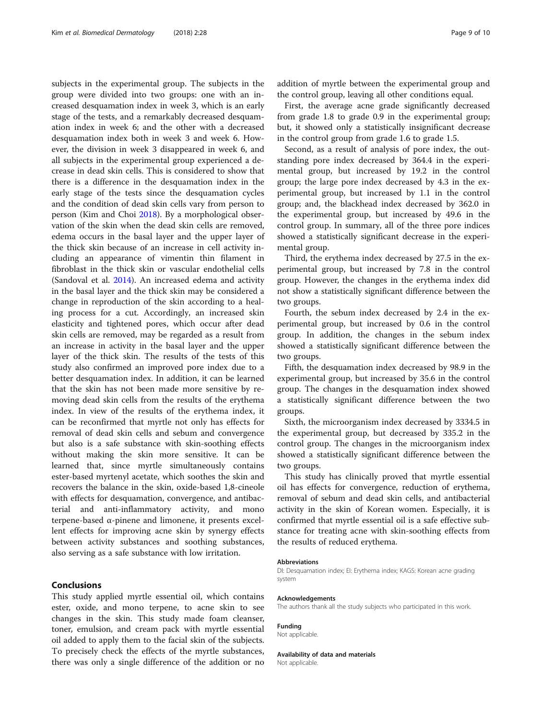subjects in the experimental group. The subjects in the group were divided into two groups: one with an increased desquamation index in week 3, which is an early stage of the tests, and a remarkably decreased desquamation index in week 6; and the other with a decreased desquamation index both in week 3 and week 6. However, the division in week 3 disappeared in week 6, and all subjects in the experimental group experienced a decrease in dead skin cells. This is considered to show that there is a difference in the desquamation index in the early stage of the tests since the desquamation cycles and the condition of dead skin cells vary from person to person (Kim and Choi [2018\)](#page-9-0). By a morphological observation of the skin when the dead skin cells are removed, edema occurs in the basal layer and the upper layer of the thick skin because of an increase in cell activity including an appearance of vimentin thin filament in fibroblast in the thick skin or vascular endothelial cells (Sandoval et al. [2014](#page-9-0)). An increased edema and activity in the basal layer and the thick skin may be considered a change in reproduction of the skin according to a healing process for a cut. Accordingly, an increased skin elasticity and tightened pores, which occur after dead skin cells are removed, may be regarded as a result from an increase in activity in the basal layer and the upper layer of the thick skin. The results of the tests of this study also confirmed an improved pore index due to a better desquamation index. In addition, it can be learned that the skin has not been made more sensitive by removing dead skin cells from the results of the erythema index. In view of the results of the erythema index, it can be reconfirmed that myrtle not only has effects for removal of dead skin cells and sebum and convergence but also is a safe substance with skin-soothing effects without making the skin more sensitive. It can be learned that, since myrtle simultaneously contains ester-based myrtenyl acetate, which soothes the skin and recovers the balance in the skin, oxide-based 1,8-cineole with effects for desquamation, convergence, and antibacterial and anti-inflammatory activity, and mono terpene-based α-pinene and limonene, it presents excellent effects for improving acne skin by synergy effects between activity substances and soothing substances, also serving as a safe substance with low irritation.

#### Conclusions

This study applied myrtle essential oil, which contains ester, oxide, and mono terpene, to acne skin to see changes in the skin. This study made foam cleanser, toner, emulsion, and cream pack with myrtle essential oil added to apply them to the facial skin of the subjects. To precisely check the effects of the myrtle substances, there was only a single difference of the addition or no addition of myrtle between the experimental group and the control group, leaving all other conditions equal.

First, the average acne grade significantly decreased from grade 1.8 to grade 0.9 in the experimental group; but, it showed only a statistically insignificant decrease in the control group from grade 1.6 to grade 1.5.

Second, as a result of analysis of pore index, the outstanding pore index decreased by 364.4 in the experimental group, but increased by 19.2 in the control group; the large pore index decreased by 4.3 in the experimental group, but increased by 1.1 in the control group; and, the blackhead index decreased by 362.0 in the experimental group, but increased by 49.6 in the control group. In summary, all of the three pore indices showed a statistically significant decrease in the experimental group.

Third, the erythema index decreased by 27.5 in the experimental group, but increased by 7.8 in the control group. However, the changes in the erythema index did not show a statistically significant difference between the two groups.

Fourth, the sebum index decreased by 2.4 in the experimental group, but increased by 0.6 in the control group. In addition, the changes in the sebum index showed a statistically significant difference between the two groups.

Fifth, the desquamation index decreased by 98.9 in the experimental group, but increased by 35.6 in the control group. The changes in the desquamation index showed a statistically significant difference between the two groups.

Sixth, the microorganism index decreased by 3334.5 in the experimental group, but decreased by 335.2 in the control group. The changes in the microorganism index showed a statistically significant difference between the two groups.

This study has clinically proved that myrtle essential oil has effects for convergence, reduction of erythema, removal of sebum and dead skin cells, and antibacterial activity in the skin of Korean women. Especially, it is confirmed that myrtle essential oil is a safe effective substance for treating acne with skin-soothing effects from the results of reduced erythema.

#### Abbreviations

DI: Desquamation index; EI: Erythema index; KAGS: Korean acne grading system

#### Acknowledgements

The authors thank all the study subjects who participated in this work.

## Funding

Not applicable.

#### Availability of data and materials

Not applicable.